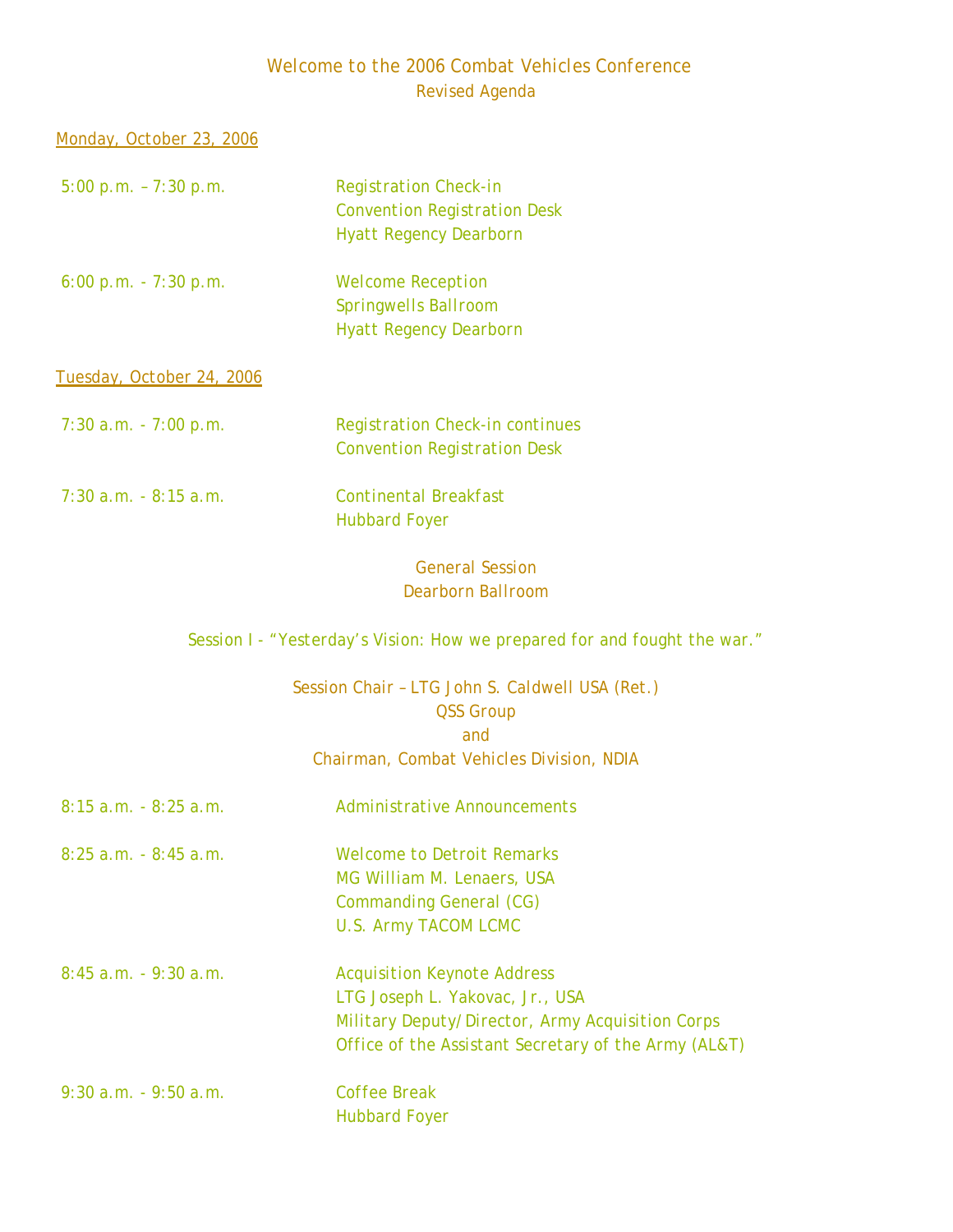## *Welcome to the 2006 Combat Vehicles Conference Revised Agenda*

| Monday, October 23, 2006         |                                                                           |
|----------------------------------|---------------------------------------------------------------------------|
| $5:00 p.m. - 7:30 p.m.$          | <b>Registration Check-in</b>                                              |
|                                  | <b>Convention Registration Desk</b>                                       |
|                                  | <b>Hyatt Regency Dearborn</b>                                             |
| $6:00 p.m. - 7:30 p.m.$          | <b>Welcome Reception</b>                                                  |
|                                  | Springwells Ballroom                                                      |
|                                  | <b>Hyatt Regency Dearborn</b>                                             |
| <u>Tuesday, October 24, 2006</u> |                                                                           |
| $7:30$ a.m. $-7:00$ p.m.         | <b>Registration Check-in continues</b>                                    |
|                                  | <b>Convention Registration Desk</b>                                       |
| $7:30$ a.m. $-8:15$ a.m.         | <b>Continental Breakfast</b>                                              |
|                                  | <b>Hubbard Foyer</b>                                                      |
|                                  | <b>General Session</b>                                                    |
|                                  | <b>Dearborn Ballroom</b>                                                  |
|                                  | Session I - "Yesterday's Vision: How we prepared for and fought the war." |
|                                  | Session Chair - LTG John S. Caldwell USA (Ret.)                           |
|                                  | <b>QSS Group</b>                                                          |
|                                  | and                                                                       |
|                                  | Chairman, Combat Vehicles Division, NDIA                                  |
| $8:15$ a.m. $-8:25$ a.m.         | Administrative Announcements                                              |
| $8:25$ a.m. $-8:45$ a.m.         | <b>Welcome to Detroit Remarks</b>                                         |
|                                  | MG William M. Lenaers, USA                                                |
|                                  | <b>Commanding General (CG)</b>                                            |
|                                  | <b>U.S. Army TACOM LCMC</b>                                               |
| $8:45$ a.m. $-9:30$ a.m.         | <b>Acquisition Keynote Address</b>                                        |
|                                  | LTG Joseph L. Yakovac, Jr., USA                                           |
|                                  | Military Deputy/Director, Army Acquisition Corps                          |
|                                  | Office of the Assistant Secretary of the Army (AL&T)                      |

 *9:30 a.m. - 9:50 a.m. Coffee Break Hubbard Foyer*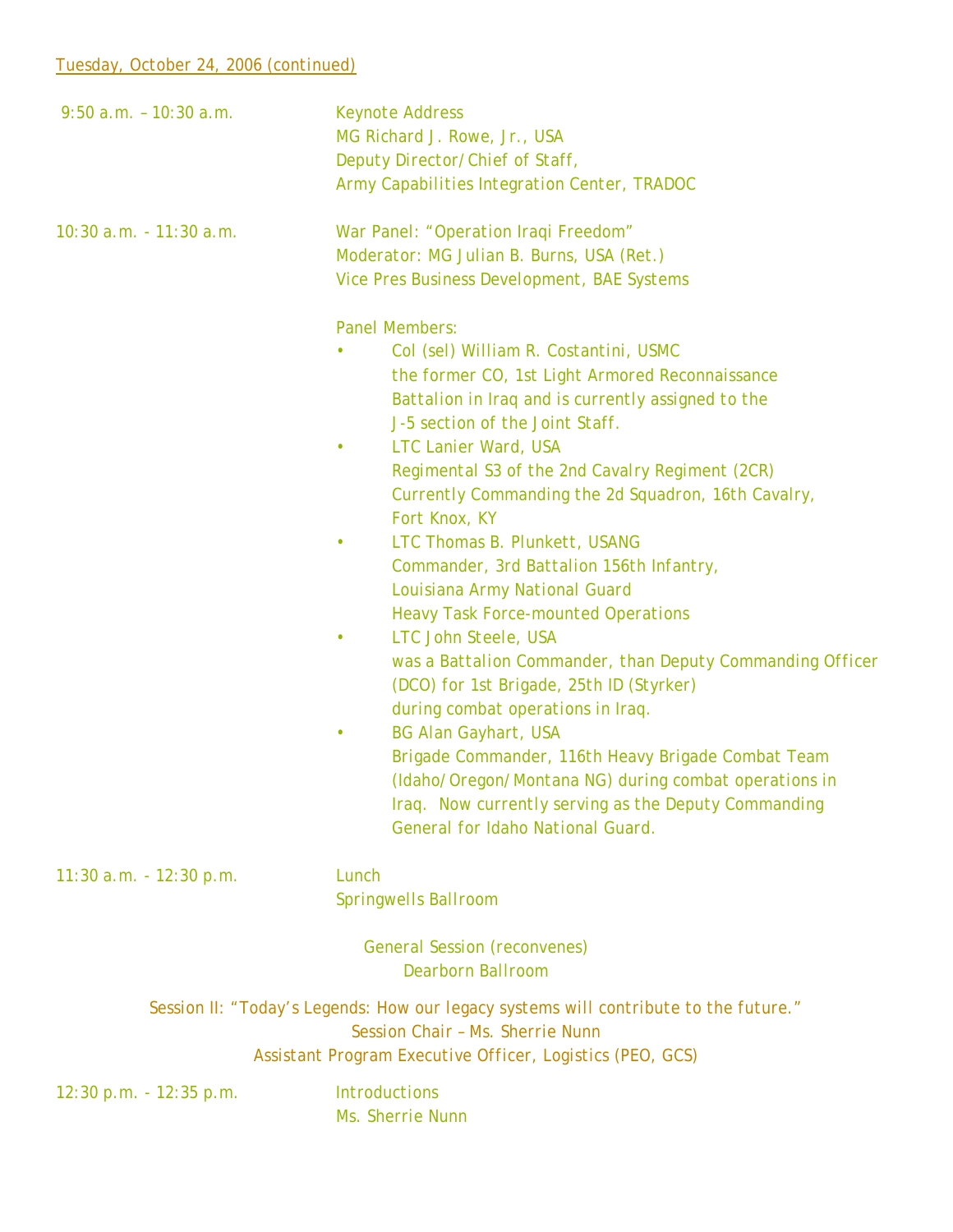| $9:50$ a.m. $-10:30$ a.m.  | <b>Keynote Address</b>                                                                        |
|----------------------------|-----------------------------------------------------------------------------------------------|
|                            | MG Richard J. Rowe, Jr., USA                                                                  |
|                            | Deputy Director/Chief of Staff,                                                               |
|                            | Army Capabilities Integration Center, TRADOC                                                  |
| 10:30 a.m. - 11:30 a.m.    | War Panel: "Operation Iraqi Freedom"                                                          |
|                            | Moderator: MG Julian B. Burns, USA (Ret.)                                                     |
|                            | <b>Vice Pres Business Development, BAE Systems</b>                                            |
|                            | <b>Panel Members:</b>                                                                         |
|                            | Col (sel) William R. Costantini, USMC                                                         |
|                            | the former CO, 1st Light Armored Reconnaissance                                               |
|                            | Battalion in Iraq and is currently assigned to the                                            |
|                            | J-5 section of the Joint Staff.                                                               |
|                            | LTC Lanier Ward, USA<br>$\bullet$                                                             |
|                            | Regimental S3 of the 2nd Cavalry Regiment (2CR)                                               |
|                            | Currently Commanding the 2d Squadron, 16th Cavalry,                                           |
|                            | Fort Knox, KY                                                                                 |
|                            | LTC Thomas B. Plunkett, USANG<br>۰                                                            |
|                            | Commander, 3rd Battalion 156th Infantry,                                                      |
|                            | Louisiana Army National Guard                                                                 |
|                            | <b>Heavy Task Force-mounted Operations</b>                                                    |
|                            | LTC John Steele, USA                                                                          |
|                            | was a Battalion Commander, than Deputy Commanding Officer                                     |
|                            | (DCO) for 1st Brigade, 25th ID (Styrker)                                                      |
|                            | during combat operations in Iraq.                                                             |
|                            | <b>BG Alan Gayhart, USA</b>                                                                   |
|                            | Brigade Commander, 116th Heavy Brigade Combat Team                                            |
|                            | (Idaho/Oregon/Montana NG) during combat operations in                                         |
|                            | Iraq. Now currently serving as the Deputy Commanding<br>General for Idaho National Guard.     |
|                            |                                                                                               |
| $11:30$ a.m. $-12:30$ p.m. | Lunch                                                                                         |
|                            | <b>Springwells Ballroom</b>                                                                   |
|                            | <b>General Session (reconvenes)</b>                                                           |
|                            | <b>Dearborn Ballroom</b>                                                                      |
|                            | Session II: "Today's Legends: How our legacy systems will contribute to the future."          |
|                            | Session Chair - Ms. Sherrie Nunn<br>Assistant Program Executive Officer, Logistics (PEO, GCS) |
|                            | <b>Introductions</b>                                                                          |
| 12:30 p.m. - 12:35 p.m.    | Ms. Sherrie Nunn                                                                              |
|                            |                                                                                               |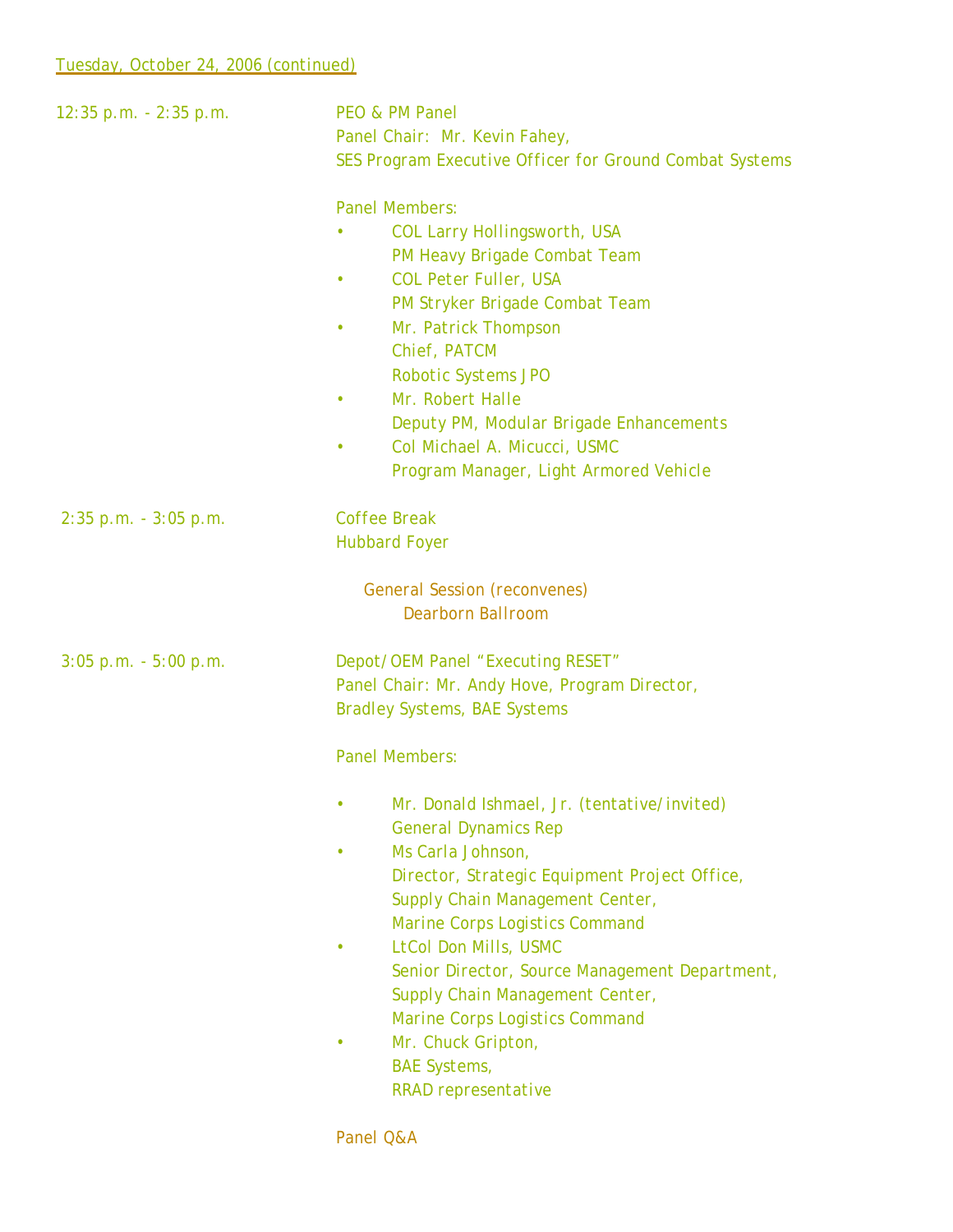| $12:35$ p.m. $-2:35$ p.m. | <b>PEO &amp; PM Panel</b><br>Panel Chair: Mr. Kevin Fahey,<br>SES Program Executive Officer for Ground Combat Systems<br><b>Panel Members:</b><br>COL Larry Hollingsworth, USA                                                                                                                                                                                                                                                                          |
|---------------------------|---------------------------------------------------------------------------------------------------------------------------------------------------------------------------------------------------------------------------------------------------------------------------------------------------------------------------------------------------------------------------------------------------------------------------------------------------------|
|                           | PM Heavy Brigade Combat Team<br>COL Peter Fuller, USA<br>PM Stryker Brigade Combat Team<br>Mr. Patrick Thompson<br>Chief, PATCM<br><b>Robotic Systems JPO</b><br>Mr. Robert Halle<br>Deputy PM, Modular Brigade Enhancements<br>Col Michael A. Micucci, USMC<br>Program Manager, Light Armored Vehicle                                                                                                                                                  |
| $2:35$ p.m. $-3:05$ p.m.  | <b>Coffee Break</b><br><b>Hubbard Foyer</b>                                                                                                                                                                                                                                                                                                                                                                                                             |
|                           | <b>General Session (reconvenes)</b><br><b>Dearborn Ballroom</b>                                                                                                                                                                                                                                                                                                                                                                                         |
| $3:05$ p.m. $-5:00$ p.m.  | Depot/OEM Panel "Executing RESET"<br>Panel Chair: Mr. Andy Hove, Program Director,<br><b>Bradley Systems, BAE Systems</b><br><b>Panel Members:</b>                                                                                                                                                                                                                                                                                                      |
|                           | Mr. Donald Ishmael, Jr. (tentative/invited)<br><b>General Dynamics Rep</b><br>Ms Carla Johnson,<br>Director, Strategic Equipment Project Office,<br>Supply Chain Management Center,<br>Marine Corps Logistics Command<br>LtCol Don Mills, USMC<br>Senior Director, Source Management Department,<br>Supply Chain Management Center,<br><b>Marine Corps Logistics Command</b><br>Mr. Chuck Gripton,<br><b>BAE</b> Systems,<br><b>RRAD</b> representative |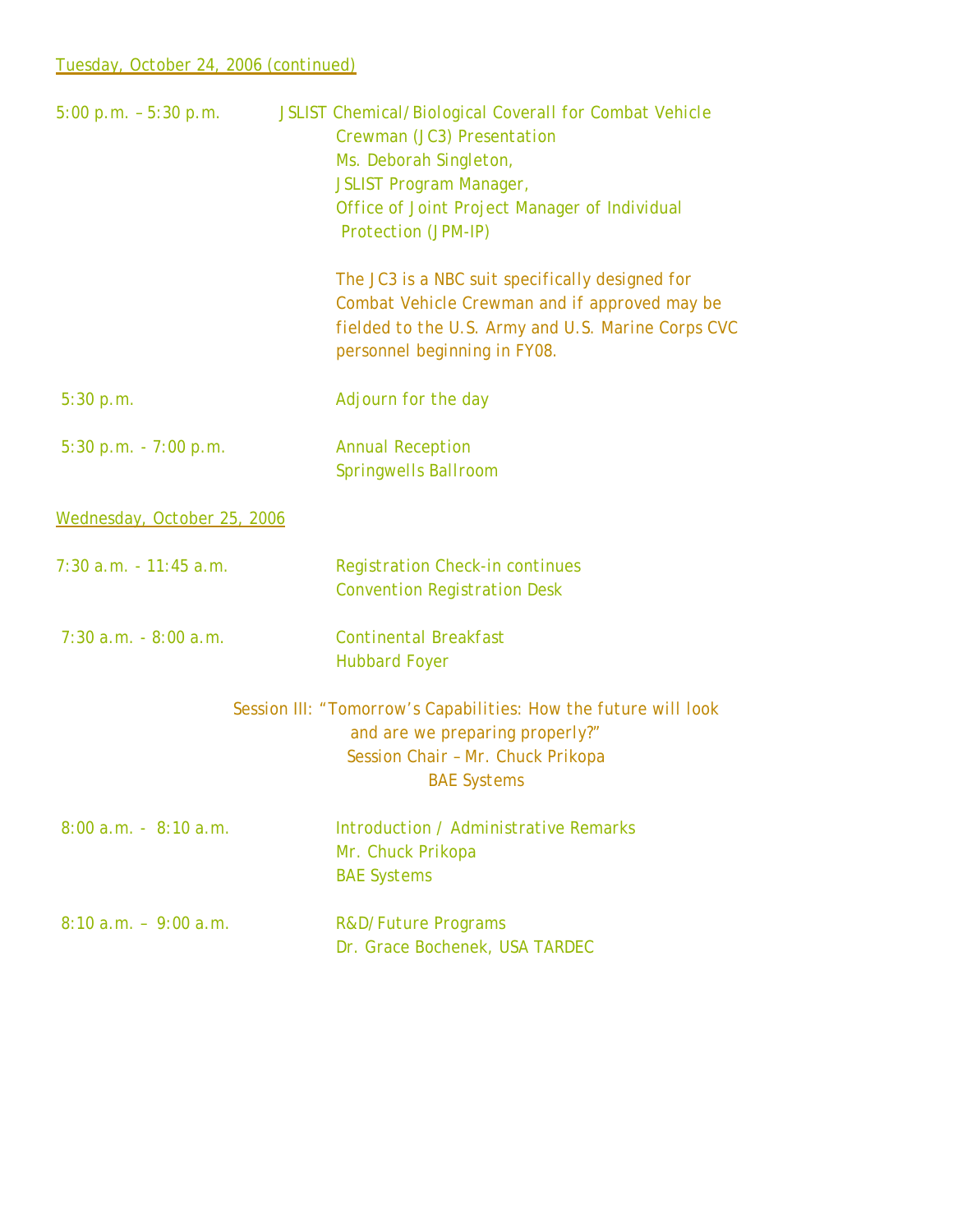## *Tuesday, October 24, 2006 (continued)*

| $5:00 p.m. - 5:30 p.m.$     | JSLIST Chemical/Biological Coverall for Combat Vehicle<br>Crewman (JC3) Presentation<br>Ms. Deborah Singleton,<br><b>JSLIST Program Manager,</b><br>Office of Joint Project Manager of Individual<br>Protection (JPM-IP)<br>The JC3 is a NBC suit specifically designed for<br>Combat Vehicle Crewman and if approved may be<br>fielded to the U.S. Army and U.S. Marine Corps CVC<br>personnel beginning in FY08. |
|-----------------------------|--------------------------------------------------------------------------------------------------------------------------------------------------------------------------------------------------------------------------------------------------------------------------------------------------------------------------------------------------------------------------------------------------------------------|
| 5:30 p.m.                   | Adjourn for the day                                                                                                                                                                                                                                                                                                                                                                                                |
| $5:30 p.m. - 7:00 p.m.$     | <b>Annual Reception</b><br><b>Springwells Ballroom</b>                                                                                                                                                                                                                                                                                                                                                             |
| Wednesday, October 25, 2006 |                                                                                                                                                                                                                                                                                                                                                                                                                    |
| $7:30$ a.m. $-11:45$ a.m.   | <b>Registration Check-in continues</b><br><b>Convention Registration Desk</b>                                                                                                                                                                                                                                                                                                                                      |
| $7:30$ a.m. $-8:00$ a.m.    | <b>Continental Breakfast</b><br><b>Hubbard Foyer</b>                                                                                                                                                                                                                                                                                                                                                               |
|                             | Session III: "Tomorrow's Capabilities: How the future will look<br>and are we preparing properly?"<br>Session Chair - Mr. Chuck Prikopa<br><b>BAE</b> Systems                                                                                                                                                                                                                                                      |
| $8:00$ a.m. $-8:10$ a.m.    | Introduction / Administrative Remarks<br>Mr. Chuck Prikopa<br><b>BAE</b> Systems                                                                                                                                                                                                                                                                                                                                   |
| $8:10 a.m. - 9:00 a.m.$     | <b>R&amp;D/Future Programs</b><br>Dr. Grace Bochenek, USA TARDEC                                                                                                                                                                                                                                                                                                                                                   |